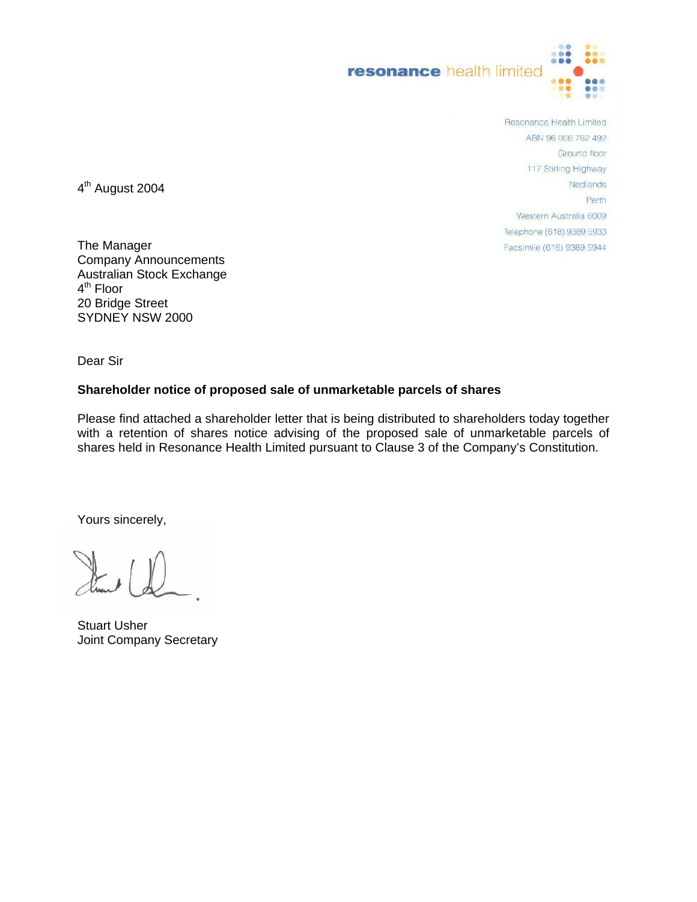

Resonance Health Limited ABN 96 006 762 492 Ground floor 117 Stirling Highway Nedlands Perth Western Australia 6009 Telephone (618) 9389 5933 Facsimile (618) 9389 5944

4<sup>th</sup> August 2004

The Manager Company Announcements Australian Stock Exchange 4<sup>th</sup> Floor 20 Bridge Street SYDNEY NSW 2000

Dear Sir

#### **Shareholder notice of proposed sale of unmarketable parcels of shares**

Please find attached a shareholder letter that is being distributed to shareholders today together with a retention of shares notice advising of the proposed sale of unmarketable parcels of shares held in Resonance Health Limited pursuant to Clause 3 of the Company's Constitution.

Yours sincerely,

Stuart Usher Joint Company Secretary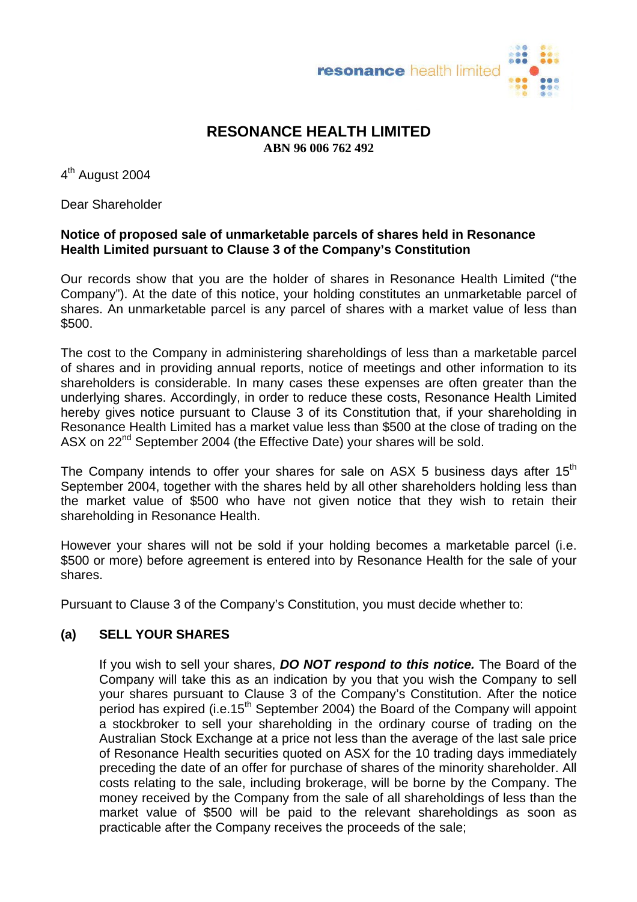

# **RESONANCE HEALTH LIMITED ABN 96 006 762 492**

4<sup>th</sup> August 2004

Dear Shareholder

## **Notice of proposed sale of unmarketable parcels of shares held in Resonance Health Limited pursuant to Clause 3 of the Company's Constitution**

Our records show that you are the holder of shares in Resonance Health Limited ("the Company"). At the date of this notice, your holding constitutes an unmarketable parcel of shares. An unmarketable parcel is any parcel of shares with a market value of less than \$500.

The cost to the Company in administering shareholdings of less than a marketable parcel of shares and in providing annual reports, notice of meetings and other information to its shareholders is considerable. In many cases these expenses are often greater than the underlying shares. Accordingly, in order to reduce these costs, Resonance Health Limited hereby gives notice pursuant to Clause 3 of its Constitution that, if your shareholding in Resonance Health Limited has a market value less than \$500 at the close of trading on the ASX on 22<sup>nd</sup> September 2004 (the Effective Date) your shares will be sold.

The Company intends to offer your shares for sale on ASX 5 business days after  $15<sup>th</sup>$ September 2004, together with the shares held by all other shareholders holding less than the market value of \$500 who have not given notice that they wish to retain their shareholding in Resonance Health.

However your shares will not be sold if your holding becomes a marketable parcel (i.e. \$500 or more) before agreement is entered into by Resonance Health for the sale of your shares.

Pursuant to Clause 3 of the Company's Constitution, you must decide whether to:

#### **(a) SELL YOUR SHARES**

If you wish to sell your shares, *DO NOT respond to this notice.* The Board of the Company will take this as an indication by you that you wish the Company to sell your shares pursuant to Clause 3 of the Company's Constitution. After the notice period has expired (i.e.15<sup>th</sup> September 2004) the Board of the Company will appoint a stockbroker to sell your shareholding in the ordinary course of trading on the Australian Stock Exchange at a price not less than the average of the last sale price of Resonance Health securities quoted on ASX for the 10 trading days immediately preceding the date of an offer for purchase of shares of the minority shareholder. All costs relating to the sale, including brokerage, will be borne by the Company. The money received by the Company from the sale of all shareholdings of less than the market value of \$500 will be paid to the relevant shareholdings as soon as practicable after the Company receives the proceeds of the sale;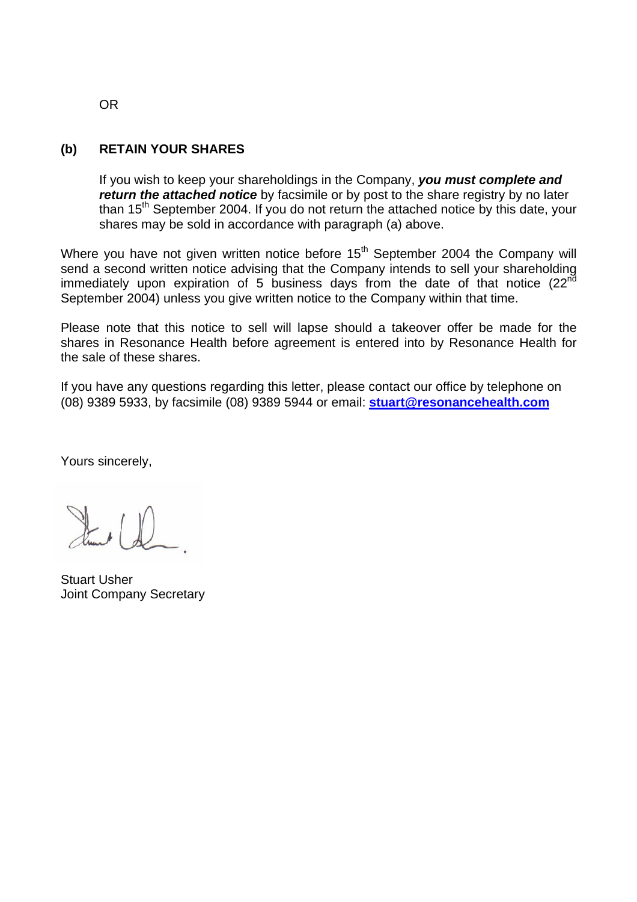## **(b) RETAIN YOUR SHARES**

If you wish to keep your shareholdings in the Company, *you must complete and return the attached notice* by facsimile or by post to the share registry by no later than 15<sup>th</sup> September 2004. If you do not return the attached notice by this date, your shares may be sold in accordance with paragraph (a) above.

Where you have not given written notice before 15<sup>th</sup> September 2004 the Company will send a second written notice advising that the Company intends to sell your shareholding immediately upon expiration of 5 business days from the date of that notice  $(22^{nd}$ September 2004) unless you give written notice to the Company within that time.

Please note that this notice to sell will lapse should a takeover offer be made for the shares in Resonance Health before agreement is entered into by Resonance Health for the sale of these shares.

If you have any questions regarding this letter, please contact our office by telephone on (08) 9389 5933, by facsimile (08) 9389 5944 or email: **[stuart@resonancehealth.com](mailto:stuart@resonancehealth.com)**

Yours sincerely,

Street (D)

Stuart Usher Joint Company Secretary

OR